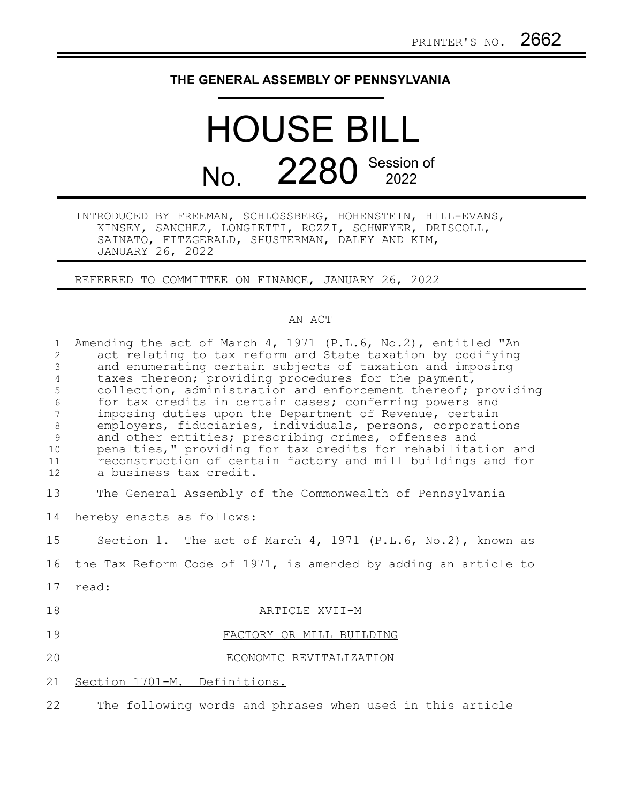## **THE GENERAL ASSEMBLY OF PENNSYLVANIA**

## HOUSE BILL No. 2280 Session of

INTRODUCED BY FREEMAN, SCHLOSSBERG, HOHENSTEIN, HILL-EVANS, KINSEY, SANCHEZ, LONGIETTI, ROZZI, SCHWEYER, DRISCOLL, SAINATO, FITZGERALD, SHUSTERMAN, DALEY AND KIM, JANUARY 26, 2022

REFERRED TO COMMITTEE ON FINANCE, JANUARY 26, 2022

## AN ACT

| $\mathbf{1}$<br>2<br>$\mathfrak{Z}$<br>$\overline{4}$<br>5<br>$\sqrt{6}$<br>7<br>$\,8\,$<br>9<br>10<br>11<br>12 | Amending the act of March 4, 1971 (P.L.6, No.2), entitled "An<br>act relating to tax reform and State taxation by codifying<br>and enumerating certain subjects of taxation and imposing<br>taxes thereon; providing procedures for the payment,<br>collection, administration and enforcement thereof; providing<br>for tax credits in certain cases; conferring powers and<br>imposing duties upon the Department of Revenue, certain<br>employers, fiduciaries, individuals, persons, corporations<br>and other entities; prescribing crimes, offenses and<br>penalties," providing for tax credits for rehabilitation and<br>reconstruction of certain factory and mill buildings and for<br>a business tax credit. |
|-----------------------------------------------------------------------------------------------------------------|-------------------------------------------------------------------------------------------------------------------------------------------------------------------------------------------------------------------------------------------------------------------------------------------------------------------------------------------------------------------------------------------------------------------------------------------------------------------------------------------------------------------------------------------------------------------------------------------------------------------------------------------------------------------------------------------------------------------------|
| 13                                                                                                              | The General Assembly of the Commonwealth of Pennsylvania                                                                                                                                                                                                                                                                                                                                                                                                                                                                                                                                                                                                                                                                |
| 14                                                                                                              | hereby enacts as follows:                                                                                                                                                                                                                                                                                                                                                                                                                                                                                                                                                                                                                                                                                               |
| 15                                                                                                              | Section 1. The act of March 4, 1971 (P.L.6, No.2), known as                                                                                                                                                                                                                                                                                                                                                                                                                                                                                                                                                                                                                                                             |
| 16                                                                                                              | the Tax Reform Code of 1971, is amended by adding an article to                                                                                                                                                                                                                                                                                                                                                                                                                                                                                                                                                                                                                                                         |
| 17                                                                                                              | read:                                                                                                                                                                                                                                                                                                                                                                                                                                                                                                                                                                                                                                                                                                                   |
| 18                                                                                                              | ARTICLE XVII-M                                                                                                                                                                                                                                                                                                                                                                                                                                                                                                                                                                                                                                                                                                          |
| 19                                                                                                              | FACTORY OR MILL BUILDING                                                                                                                                                                                                                                                                                                                                                                                                                                                                                                                                                                                                                                                                                                |
| 20                                                                                                              | ECONOMIC REVITALIZATION                                                                                                                                                                                                                                                                                                                                                                                                                                                                                                                                                                                                                                                                                                 |
| 21                                                                                                              | Section 1701-M. Definitions.                                                                                                                                                                                                                                                                                                                                                                                                                                                                                                                                                                                                                                                                                            |
| 22                                                                                                              | The following words and phrases when used in this article                                                                                                                                                                                                                                                                                                                                                                                                                                                                                                                                                                                                                                                               |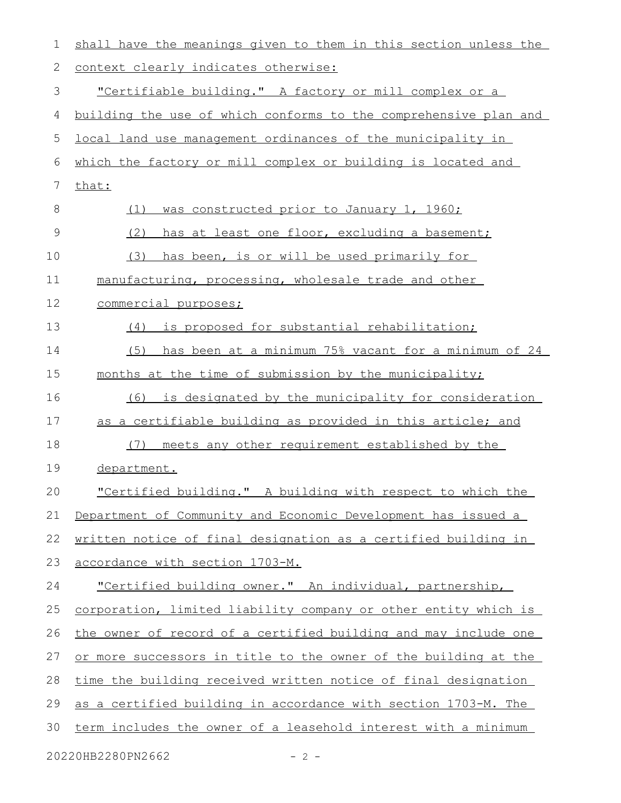| 1  | shall have the meanings given to them in this section unless the |  |  |  |  |  |  |  |  |  |
|----|------------------------------------------------------------------|--|--|--|--|--|--|--|--|--|
| 2  | context clearly indicates otherwise:                             |  |  |  |  |  |  |  |  |  |
| 3  | <u>"Certifiable building." A factory or mill complex or a</u>    |  |  |  |  |  |  |  |  |  |
| 4  | building the use of which conforms to the comprehensive plan and |  |  |  |  |  |  |  |  |  |
| 5  | local land use management ordinances of the municipality in      |  |  |  |  |  |  |  |  |  |
| 6  | which the factory or mill complex or building is located and     |  |  |  |  |  |  |  |  |  |
| 7  | that:                                                            |  |  |  |  |  |  |  |  |  |
| 8  | was constructed prior to January 1, 1960;<br>(1)                 |  |  |  |  |  |  |  |  |  |
| 9  | (2)<br>has at least one floor, excluding a basement;             |  |  |  |  |  |  |  |  |  |
| 10 | (3)<br>has been, is or will be used primarily for                |  |  |  |  |  |  |  |  |  |
| 11 | manufacturing, processing, wholesale trade and other             |  |  |  |  |  |  |  |  |  |
| 12 | commercial purposes;                                             |  |  |  |  |  |  |  |  |  |
| 13 | is proposed for substantial rehabilitation;<br>(4)               |  |  |  |  |  |  |  |  |  |
| 14 | has been at a minimum 75% vacant for a minimum of 24<br>(5)      |  |  |  |  |  |  |  |  |  |
| 15 | months at the time of submission by the municipality;            |  |  |  |  |  |  |  |  |  |
| 16 | is designated by the municipality for consideration<br>(6)       |  |  |  |  |  |  |  |  |  |
| 17 | as a certifiable building as provided in this article; and       |  |  |  |  |  |  |  |  |  |
| 18 | meets any other requirement established by the<br>(7)            |  |  |  |  |  |  |  |  |  |
| 19 | department.                                                      |  |  |  |  |  |  |  |  |  |
| 20 | "Certified building." A building with respect to which the       |  |  |  |  |  |  |  |  |  |
| 21 | Department of Community and Economic Development has issued a    |  |  |  |  |  |  |  |  |  |
| 22 | written notice of final designation as a certified building in   |  |  |  |  |  |  |  |  |  |
| 23 | accordance with section 1703-M.                                  |  |  |  |  |  |  |  |  |  |
| 24 | "Certified building owner." An individual, partnership,          |  |  |  |  |  |  |  |  |  |
| 25 | corporation, limited liability company or other entity which is  |  |  |  |  |  |  |  |  |  |
| 26 | the owner of record of a certified building and may include one  |  |  |  |  |  |  |  |  |  |
| 27 | or more successors in title to the owner of the building at the  |  |  |  |  |  |  |  |  |  |
| 28 | time the building received written notice of final designation   |  |  |  |  |  |  |  |  |  |
| 29 | as a certified building in accordance with section 1703-M. The   |  |  |  |  |  |  |  |  |  |
| 30 | term includes the owner of a leasehold interest with a minimum   |  |  |  |  |  |  |  |  |  |
|    |                                                                  |  |  |  |  |  |  |  |  |  |

20220HB2280PN2662 - 2 -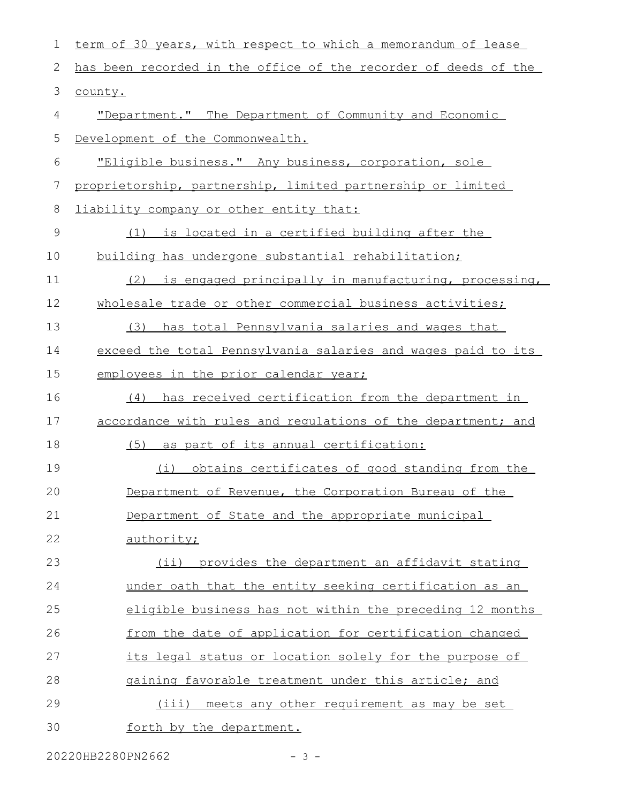| $\mathbf 1$ | term of 30 years, with respect to which a memorandum of lease   |  |  |  |  |  |  |  |  |  |  |
|-------------|-----------------------------------------------------------------|--|--|--|--|--|--|--|--|--|--|
| 2           | has been recorded in the office of the recorder of deeds of the |  |  |  |  |  |  |  |  |  |  |
| 3           | county.                                                         |  |  |  |  |  |  |  |  |  |  |
| 4           | "Department." The Department of Community and Economic          |  |  |  |  |  |  |  |  |  |  |
| 5           | Development of the Commonwealth.                                |  |  |  |  |  |  |  |  |  |  |
| $6\,$       | "Eligible business." Any business, corporation, sole            |  |  |  |  |  |  |  |  |  |  |
| 7           | proprietorship, partnership, limited partnership or limited     |  |  |  |  |  |  |  |  |  |  |
| $\,8\,$     | liability company or other entity that:                         |  |  |  |  |  |  |  |  |  |  |
| $\mathsf 9$ | (1) is located in a certified building after the                |  |  |  |  |  |  |  |  |  |  |
| 10          | building has undergone substantial rehabilitation;              |  |  |  |  |  |  |  |  |  |  |
| 11          | (2)<br>is engaged principally in manufacturing, processing,     |  |  |  |  |  |  |  |  |  |  |
| 12          | wholesale trade or other commercial business activities;        |  |  |  |  |  |  |  |  |  |  |
| 13          | has total Pennsylvania salaries and wages that<br>(3)           |  |  |  |  |  |  |  |  |  |  |
| 14          | exceed the total Pennsylvania salaries and wages paid to its    |  |  |  |  |  |  |  |  |  |  |
| 15          | employees in the prior calendar year;                           |  |  |  |  |  |  |  |  |  |  |
| 16          | has received certification from the department in<br>(4)        |  |  |  |  |  |  |  |  |  |  |
| 17          | accordance with rules and regulations of the department; and    |  |  |  |  |  |  |  |  |  |  |
| 18          | (5) as part of its annual certification:                        |  |  |  |  |  |  |  |  |  |  |
| 19          | obtains certificates of good standing from the<br>(i)           |  |  |  |  |  |  |  |  |  |  |
| 20          | Department of Revenue, the Corporation Bureau of the            |  |  |  |  |  |  |  |  |  |  |
| 21          | Department of State and the appropriate municipal               |  |  |  |  |  |  |  |  |  |  |
| 22          | authority;                                                      |  |  |  |  |  |  |  |  |  |  |
| 23          | (ii) provides the department an affidavit stating               |  |  |  |  |  |  |  |  |  |  |
| 24          | under oath that the entity seeking certification as an          |  |  |  |  |  |  |  |  |  |  |
| 25          | eligible business has not within the preceding 12 months        |  |  |  |  |  |  |  |  |  |  |
| 26          | from the date of application for certification changed          |  |  |  |  |  |  |  |  |  |  |
| 27          | its legal status or location solely for the purpose of          |  |  |  |  |  |  |  |  |  |  |
| 28          | gaining favorable treatment under this article; and             |  |  |  |  |  |  |  |  |  |  |
| 29          | (iii) meets any other requirement as may be set                 |  |  |  |  |  |  |  |  |  |  |
| 30          | forth by the department.                                        |  |  |  |  |  |  |  |  |  |  |

20220HB2280PN2662 - 3 -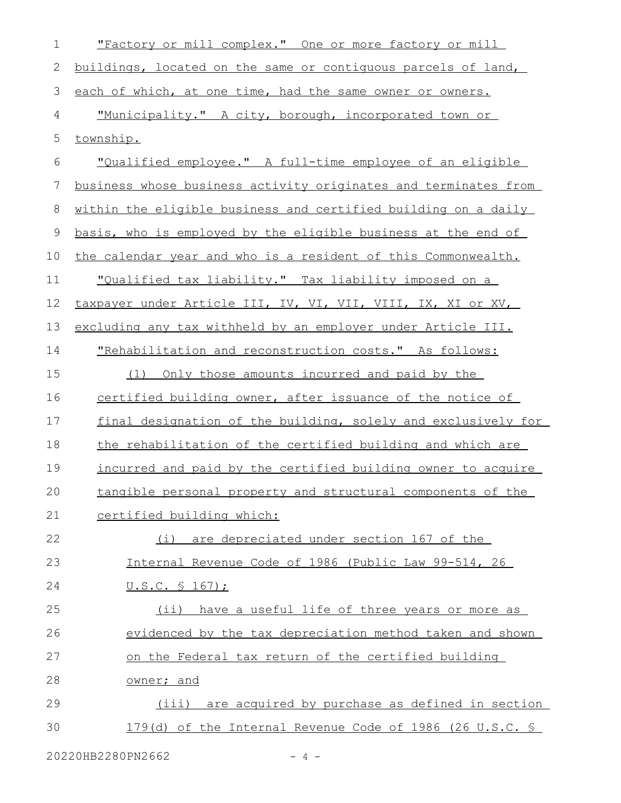| $\mathbf 1$  | "Factory or mill complex." One or more factory or mill          |  |  |  |  |  |  |  |  |
|--------------|-----------------------------------------------------------------|--|--|--|--|--|--|--|--|
| $\mathbf{2}$ | buildings, located on the same or contiguous parcels of land,   |  |  |  |  |  |  |  |  |
| 3            | each of which, at one time, had the same owner or owners.       |  |  |  |  |  |  |  |  |
| 4            | "Municipality." A city, borough, incorporated town or           |  |  |  |  |  |  |  |  |
| 5            | township.                                                       |  |  |  |  |  |  |  |  |
| 6            | "Qualified employee." A full-time employee of an eligible       |  |  |  |  |  |  |  |  |
| 7            | business whose business activity originates and terminates from |  |  |  |  |  |  |  |  |
| 8            | within the eligible business and certified building on a daily  |  |  |  |  |  |  |  |  |
| 9            | basis, who is employed by the eligible business at the end of   |  |  |  |  |  |  |  |  |
| 10           | the calendar year and who is a resident of this Commonwealth.   |  |  |  |  |  |  |  |  |
| 11           | "Qualified tax liability." Tax liability imposed on a           |  |  |  |  |  |  |  |  |
| 12           | taxpayer under Article III, IV, VI, VII, VIII, IX, XI or XV,    |  |  |  |  |  |  |  |  |
| 13           | excluding any tax withheld by an employer under Article III.    |  |  |  |  |  |  |  |  |
| 14           | "Rehabilitation and reconstruction costs." As follows:          |  |  |  |  |  |  |  |  |
| 15           | (1) Only those amounts incurred and paid by the                 |  |  |  |  |  |  |  |  |
| 16           | certified building owner, after issuance of the notice of       |  |  |  |  |  |  |  |  |
| 17           | final designation of the building, solely and exclusively for   |  |  |  |  |  |  |  |  |
| 18           | the rehabilitation of the certified building and which are      |  |  |  |  |  |  |  |  |
| 19           | incurred and paid by the certified building owner to acquire    |  |  |  |  |  |  |  |  |
| 20           | tangible personal property and structural components of the     |  |  |  |  |  |  |  |  |
| 21           | certified building which:                                       |  |  |  |  |  |  |  |  |
| 22           | (i) are depreciated under section 167 of the                    |  |  |  |  |  |  |  |  |
| 23           | Internal Revenue Code of 1986 (Public Law 99-514, 26            |  |  |  |  |  |  |  |  |
| 24           | <u>U.S.C. § 167);</u>                                           |  |  |  |  |  |  |  |  |
| 25           | (ii) have a useful life of three years or more as               |  |  |  |  |  |  |  |  |
| 26           | evidenced by the tax depreciation method taken and shown        |  |  |  |  |  |  |  |  |
| 27           | on the Federal tax return of the certified building             |  |  |  |  |  |  |  |  |
| 28           | owner; and                                                      |  |  |  |  |  |  |  |  |
| 29           | (iii) are acquired by purchase as defined in section            |  |  |  |  |  |  |  |  |
| 30           | 179(d) of the Internal Revenue Code of 1986 (26 U.S.C. §        |  |  |  |  |  |  |  |  |
|              |                                                                 |  |  |  |  |  |  |  |  |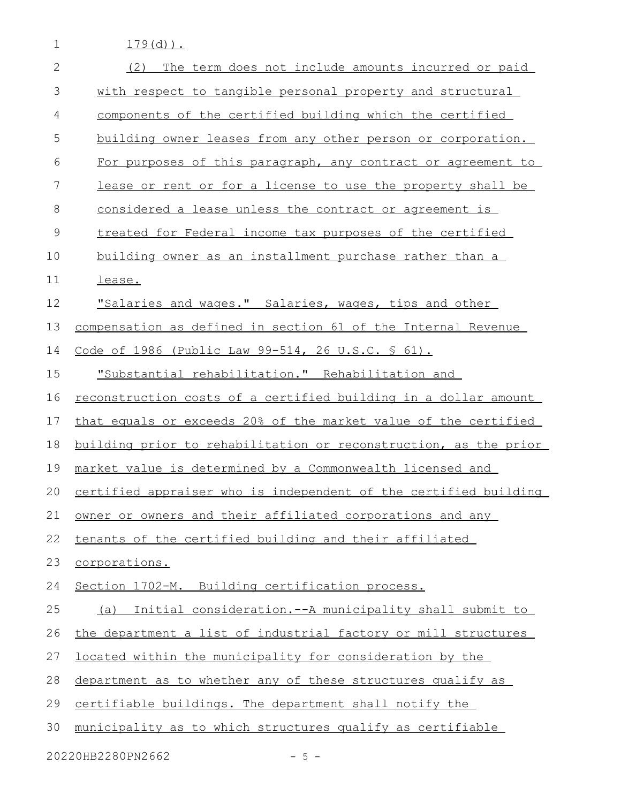$179(d)$ .

1

| $\overline{2}$ | The term does not include amounts incurred or paid<br>(2)              |  |  |  |  |  |  |  |  |  |
|----------------|------------------------------------------------------------------------|--|--|--|--|--|--|--|--|--|
| 3              | with respect to tangible personal property and structural              |  |  |  |  |  |  |  |  |  |
| $\overline{4}$ | components of the certified building which the certified               |  |  |  |  |  |  |  |  |  |
| 5              | building owner leases from any other person or corporation.            |  |  |  |  |  |  |  |  |  |
| 6              | For purposes of this paragraph, any contract or agreement to           |  |  |  |  |  |  |  |  |  |
| 7              | lease or rent or for a license to use the property shall be            |  |  |  |  |  |  |  |  |  |
| 8              | considered a lease unless the contract or agreement is                 |  |  |  |  |  |  |  |  |  |
| 9              | treated for Federal income tax purposes of the certified               |  |  |  |  |  |  |  |  |  |
| 10             | building owner as an installment purchase rather than a                |  |  |  |  |  |  |  |  |  |
| 11             | lease.                                                                 |  |  |  |  |  |  |  |  |  |
| 12             | "Salaries and wages." Salaries, wages, tips and other                  |  |  |  |  |  |  |  |  |  |
| 13             | compensation as defined in section 61 of the Internal Revenue          |  |  |  |  |  |  |  |  |  |
| 14             | Code of 1986 (Public Law 99-514, 26 U.S.C. § 61).                      |  |  |  |  |  |  |  |  |  |
| 15             | "Substantial rehabilitation." Rehabilitation and                       |  |  |  |  |  |  |  |  |  |
| 16             | <u>reconstruction costs of a certified building in a dollar amount</u> |  |  |  |  |  |  |  |  |  |
| 17             | that equals or exceeds 20% of the market value of the certified        |  |  |  |  |  |  |  |  |  |
| 18             | building prior to rehabilitation or reconstruction, as the prior       |  |  |  |  |  |  |  |  |  |
| 19             | market value is determined by a Commonwealth licensed and              |  |  |  |  |  |  |  |  |  |
| 20             | certified appraiser who is independent of the certified building       |  |  |  |  |  |  |  |  |  |
| 21             | owner or owners and their affiliated corporations and any              |  |  |  |  |  |  |  |  |  |
| 22             | tenants of the certified building and their affiliated                 |  |  |  |  |  |  |  |  |  |
| 23             | corporations.                                                          |  |  |  |  |  |  |  |  |  |
| 24             | Section 1702-M. Building certification process.                        |  |  |  |  |  |  |  |  |  |
| 25             | Initial consideration.--A municipality shall submit to<br>(a)          |  |  |  |  |  |  |  |  |  |
| 26             | the department a list of industrial factory or mill structures         |  |  |  |  |  |  |  |  |  |
| 27             | located within the municipality for consideration by the               |  |  |  |  |  |  |  |  |  |
| 28             | department as to whether any of these structures qualify as            |  |  |  |  |  |  |  |  |  |
| 29             | certifiable buildings. The department shall notify the                 |  |  |  |  |  |  |  |  |  |
| 30             | municipality as to which structures qualify as certifiable             |  |  |  |  |  |  |  |  |  |
|                | 20220HB2280PN2662<br>$-5 -$                                            |  |  |  |  |  |  |  |  |  |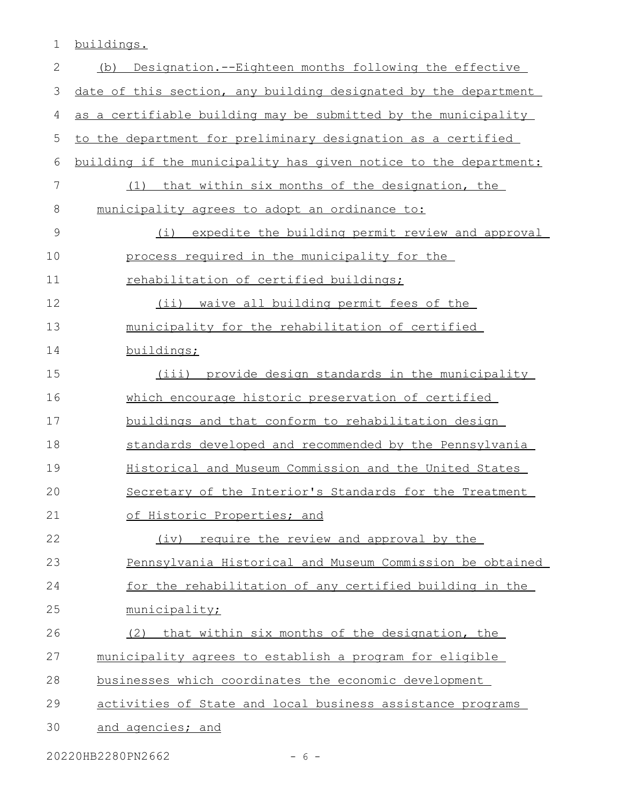1 buildings.

| $\mathbf{2}$  | Designation.--Eighteen months following the effective<br>(b)        |  |  |  |  |  |  |  |  |  |  |
|---------------|---------------------------------------------------------------------|--|--|--|--|--|--|--|--|--|--|
| 3             | date of this section, any building designated by the department     |  |  |  |  |  |  |  |  |  |  |
| 4             | as a certifiable building may be submitted by the municipality      |  |  |  |  |  |  |  |  |  |  |
| 5             | to the department for preliminary designation as a certified        |  |  |  |  |  |  |  |  |  |  |
| 6             | building if the municipality has given notice to the department:    |  |  |  |  |  |  |  |  |  |  |
| 7             | that within six months of the designation, the<br>(1)               |  |  |  |  |  |  |  |  |  |  |
| $8\,$         | municipality agrees to adopt an ordinance to:                       |  |  |  |  |  |  |  |  |  |  |
| $\mathcal{G}$ | expedite the building permit review and approval<br>$(\dot{\perp})$ |  |  |  |  |  |  |  |  |  |  |
| 10            | process required in the municipality for the                        |  |  |  |  |  |  |  |  |  |  |
| 11            | rehabilitation of certified buildings;                              |  |  |  |  |  |  |  |  |  |  |
| 12            | (ii) waive all building permit fees of the                          |  |  |  |  |  |  |  |  |  |  |
| 13            | municipality for the rehabilitation of certified                    |  |  |  |  |  |  |  |  |  |  |
| 14            | buildings;                                                          |  |  |  |  |  |  |  |  |  |  |
| 15            | provide design standards in the municipality<br>(iii)               |  |  |  |  |  |  |  |  |  |  |
| 16            | which encourage historic preservation of certified                  |  |  |  |  |  |  |  |  |  |  |
| 17            | buildings and that conform to rehabilitation design                 |  |  |  |  |  |  |  |  |  |  |
| 18            | standards developed and recommended by the Pennsylvania             |  |  |  |  |  |  |  |  |  |  |
| 19            | Historical and Museum Commission and the United States              |  |  |  |  |  |  |  |  |  |  |
| 20            | Secretary of the Interior's Standards for the Treatment             |  |  |  |  |  |  |  |  |  |  |
| 21            | of Historic Properties; and                                         |  |  |  |  |  |  |  |  |  |  |
| 22            | require the review and approval by the<br>(iv)                      |  |  |  |  |  |  |  |  |  |  |
| 23            | Pennsylvania Historical and Museum Commission be obtained           |  |  |  |  |  |  |  |  |  |  |
| 24            | for the rehabilitation of any certified building in the             |  |  |  |  |  |  |  |  |  |  |
| 25            | municipality;                                                       |  |  |  |  |  |  |  |  |  |  |
| 26            | that within six months of the designation, the<br>(2)               |  |  |  |  |  |  |  |  |  |  |
| 27            | municipality agrees to establish a program for eligible             |  |  |  |  |  |  |  |  |  |  |
| 28            | businesses which coordinates the economic development               |  |  |  |  |  |  |  |  |  |  |
| 29            | activities of State and local business assistance programs          |  |  |  |  |  |  |  |  |  |  |
| 30            | and agencies; and                                                   |  |  |  |  |  |  |  |  |  |  |

20220HB2280PN2662 - 6 -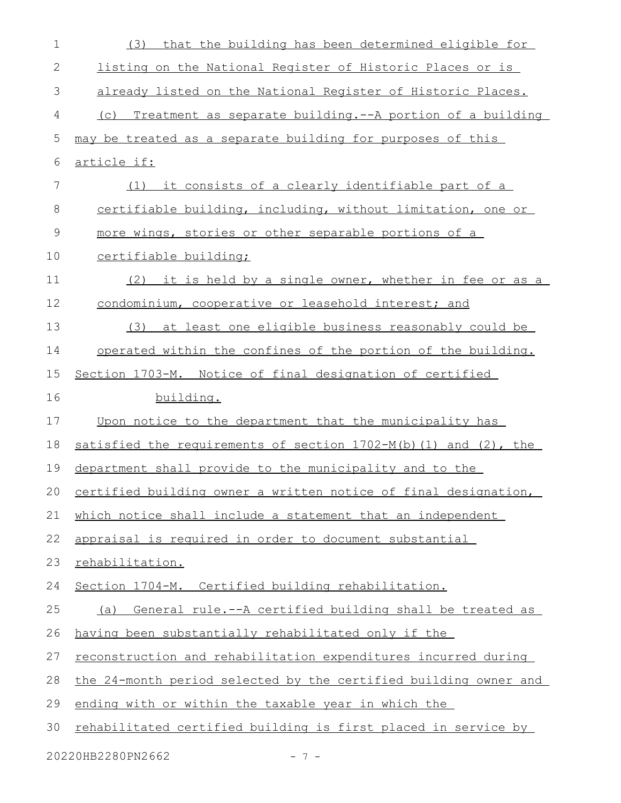| $\mathbf 1$   | that the building has been determined eligible for<br>(3)          |  |  |  |  |  |  |  |  |
|---------------|--------------------------------------------------------------------|--|--|--|--|--|--|--|--|
| 2             | listing on the National Register of Historic Places or is          |  |  |  |  |  |  |  |  |
| 3             | already listed on the National Register of Historic Places.        |  |  |  |  |  |  |  |  |
| 4             | Treatment as separate building. -- A portion of a building<br>(C)  |  |  |  |  |  |  |  |  |
| 5             | may be treated as a separate building for purposes of this         |  |  |  |  |  |  |  |  |
| 6             | <u>article if:</u>                                                 |  |  |  |  |  |  |  |  |
| 7             | (1) it consists of a clearly identifiable part of a                |  |  |  |  |  |  |  |  |
| 8             | certifiable building, including, without limitation, one or        |  |  |  |  |  |  |  |  |
| $\mathcal{G}$ | more wings, stories or other separable portions of a               |  |  |  |  |  |  |  |  |
| 10            | certifiable building;                                              |  |  |  |  |  |  |  |  |
| 11            | (2) it is held by a single owner, whether in fee or as a           |  |  |  |  |  |  |  |  |
| 12            | condominium, cooperative or leasehold interest; and                |  |  |  |  |  |  |  |  |
| 13            | (3) at least one eligible business reasonably could be             |  |  |  |  |  |  |  |  |
| 14            | operated within the confines of the portion of the building.       |  |  |  |  |  |  |  |  |
| 15            | Section 1703-M. Notice of final designation of certified           |  |  |  |  |  |  |  |  |
| 16            | building.                                                          |  |  |  |  |  |  |  |  |
| 17            | Upon notice to the department that the municipality has            |  |  |  |  |  |  |  |  |
| 18            | satisfied the requirements of section 1702-M(b) (1) and (2), the   |  |  |  |  |  |  |  |  |
| 19            | department shall provide to the municipality and to the            |  |  |  |  |  |  |  |  |
|               | 20 certified building owner a written notice of final designation, |  |  |  |  |  |  |  |  |
| 21            | which notice shall include a statement that an independent         |  |  |  |  |  |  |  |  |
| 22            | appraisal is required in order to document substantial             |  |  |  |  |  |  |  |  |
| 23            | rehabilitation.                                                    |  |  |  |  |  |  |  |  |
| 24            | Section 1704-M. Certified building rehabilitation.                 |  |  |  |  |  |  |  |  |
| 25            | (a) General rule.--A certified building shall be treated as        |  |  |  |  |  |  |  |  |
| 26            | having been substantially rehabilitated only if the                |  |  |  |  |  |  |  |  |
| 27            | reconstruction and rehabilitation expenditures incurred during     |  |  |  |  |  |  |  |  |
| 28            | the 24-month period selected by the certified building owner and   |  |  |  |  |  |  |  |  |
| 29            | ending with or within the taxable year in which the                |  |  |  |  |  |  |  |  |
| 30            | rehabilitated certified building is first placed in service by     |  |  |  |  |  |  |  |  |
|               | 20220HB2280PN2662<br>$-7-$                                         |  |  |  |  |  |  |  |  |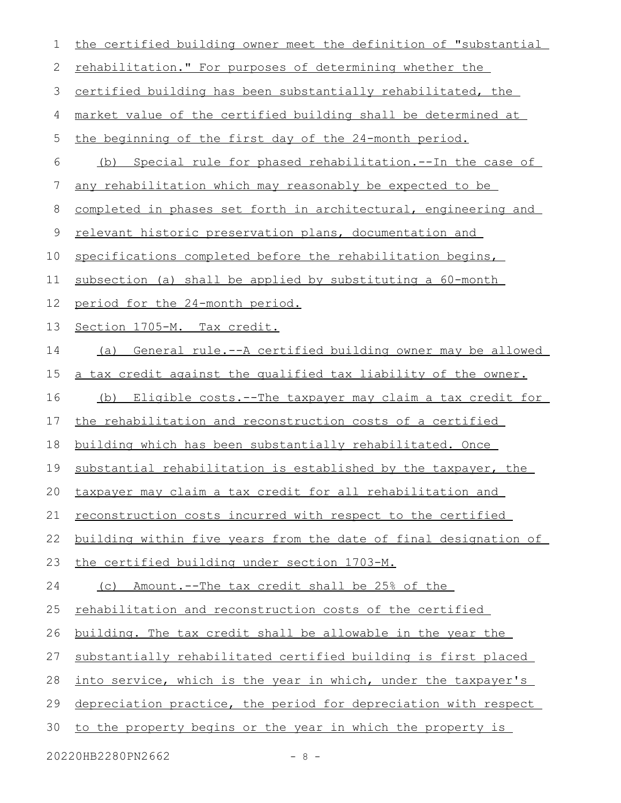| 1  | the certified building owner meet the definition of "substantial |
|----|------------------------------------------------------------------|
| 2  | rehabilitation." For purposes of determining whether the         |
| 3  | certified building has been substantially rehabilitated, the     |
| 4  | market value of the certified building shall be determined at    |
| 5  | the beginning of the first day of the 24-month period.           |
| 6  | (b) Special rule for phased rehabilitation.--In the case of      |
| 7  | any rehabilitation which may reasonably be expected to be        |
| 8  | completed in phases set forth in architectural, engineering and  |
| 9  | relevant historic preservation plans, documentation and          |
| 10 | specifications completed before the rehabilitation begins,       |
| 11 | subsection (a) shall be applied by substituting a 60-month       |
| 12 | period for the 24-month period.                                  |
| 13 | Section 1705-M. Tax credit.                                      |
| 14 | General rule.--A certified building owner may be allowed<br>(a)  |
| 15 | a tax credit against the qualified tax liability of the owner.   |
| 16 | (b) Eligible costs.--The taxpayer may claim a tax credit for     |
| 17 | the rehabilitation and reconstruction costs of a certified       |
| 18 | building which has been substantially rehabilitated. Once        |
| 19 | substantial rehabilitation is established by the taxpayer, the   |
|    | 20 taxpayer may claim a tax credit for all rehabilitation and    |
| 21 | reconstruction costs incurred with respect to the certified      |
| 22 | building within five years from the date of final designation of |
| 23 | the certified building under section 1703-M.                     |
| 24 | (c) Amount.--The tax credit shall be 25% of the                  |
| 25 | rehabilitation and reconstruction costs of the certified         |
| 26 | building. The tax credit shall be allowable in the year the      |
| 27 | substantially rehabilitated certified building is first placed   |
| 28 | into service, which is the year in which, under the taxpayer's   |
| 29 | depreciation practice, the period for depreciation with respect  |
| 30 | to the property begins or the year in which the property is      |

20220HB2280PN2662 - 8 -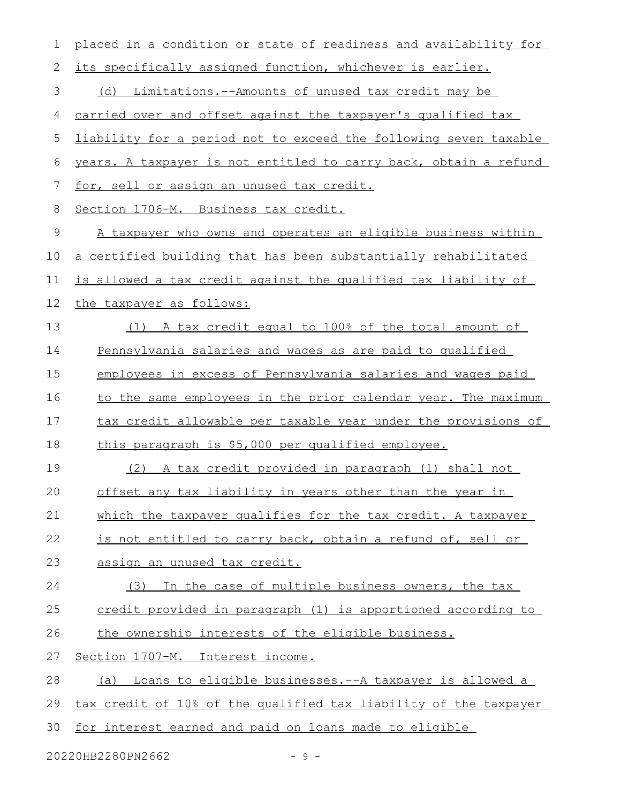| $\mathbf 1$ | placed in a condition or state of readiness and availability for |  |  |  |  |  |  |  |  |
|-------------|------------------------------------------------------------------|--|--|--|--|--|--|--|--|
| 2           | its specifically assigned function, whichever is earlier.        |  |  |  |  |  |  |  |  |
| 3           | (d) Limitations.--Amounts of unused tax credit may be            |  |  |  |  |  |  |  |  |
| 4           | carried over and offset against the taxpayer's qualified tax     |  |  |  |  |  |  |  |  |
| 5           | liability for a period not to exceed the following seven taxable |  |  |  |  |  |  |  |  |
| 6           | years. A taxpayer is not entitled to carry back, obtain a refund |  |  |  |  |  |  |  |  |
| 7           | for, sell or assign an unused tax credit.                        |  |  |  |  |  |  |  |  |
| 8           | Section 1706-M. Business tax credit.                             |  |  |  |  |  |  |  |  |
| $\mathsf 9$ | A taxpayer who owns and operates an eligible business within     |  |  |  |  |  |  |  |  |
| 10          | a certified building that has been substantially rehabilitated   |  |  |  |  |  |  |  |  |
| 11          | is allowed a tax credit against the qualified tax liability of   |  |  |  |  |  |  |  |  |
| 12          | the taxpayer as follows:                                         |  |  |  |  |  |  |  |  |
| 13          | A tax credit equal to 100% of the total amount of<br>(1)         |  |  |  |  |  |  |  |  |
| 14          | Pennsylvania salaries and wages as are paid to qualified         |  |  |  |  |  |  |  |  |
| 15          | employees in excess of Pennsylvania salaries and wages paid      |  |  |  |  |  |  |  |  |
| 16          | to the same employees in the prior calendar year. The maximum    |  |  |  |  |  |  |  |  |
| 17          | tax credit allowable per taxable year under the provisions of    |  |  |  |  |  |  |  |  |
| 18          | this paragraph is \$5,000 per qualified employee.                |  |  |  |  |  |  |  |  |
| 19          | A tax credit provided in paragraph (1) shall not<br>(2)          |  |  |  |  |  |  |  |  |
| 20          | offset any tax liability in years other than the year in         |  |  |  |  |  |  |  |  |
| 21          | which the taxpayer qualifies for the tax credit. A taxpayer      |  |  |  |  |  |  |  |  |
| 22          | is not entitled to carry back, obtain a refund of, sell or       |  |  |  |  |  |  |  |  |
| 23          | assign an unused tax credit.                                     |  |  |  |  |  |  |  |  |
| 24          | In the case of multiple business owners, the tax<br>(3)          |  |  |  |  |  |  |  |  |
| 25          | credit provided in paragraph (1) is apportioned according to     |  |  |  |  |  |  |  |  |
| 26          | the ownership interests of the eligible business.                |  |  |  |  |  |  |  |  |
| 27          | Section 1707-M. Interest income.                                 |  |  |  |  |  |  |  |  |
| 28          | (a) Loans to eligible businesses.--A taxpayer is allowed a       |  |  |  |  |  |  |  |  |
| 29          | tax credit of 10% of the qualified tax liability of the taxpayer |  |  |  |  |  |  |  |  |
| 30          | for interest earned and paid on loans made to eligible           |  |  |  |  |  |  |  |  |

20220HB2280PN2662 - 9 -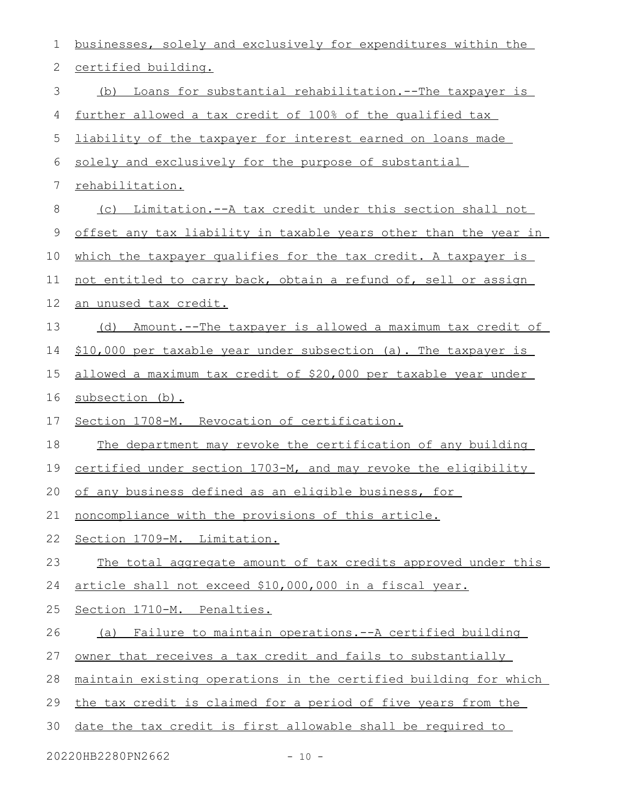| 1  | businesses, solely and exclusively for expenditures within the       |  |  |  |  |  |  |  |
|----|----------------------------------------------------------------------|--|--|--|--|--|--|--|
| 2  | certified building.                                                  |  |  |  |  |  |  |  |
| 3  | Loans for substantial rehabilitation.--The taxpayer is<br>(b)        |  |  |  |  |  |  |  |
| 4  | further allowed a tax credit of 100% of the qualified tax            |  |  |  |  |  |  |  |
| 5  | liability of the taxpayer for interest earned on loans made          |  |  |  |  |  |  |  |
| 6  | solely and exclusively for the purpose of substantial                |  |  |  |  |  |  |  |
| 7  | rehabilitation.                                                      |  |  |  |  |  |  |  |
| 8  | <u>Limitation.--A tax credit under this section shall not</u><br>(C) |  |  |  |  |  |  |  |
| 9  | offset any tax liability in taxable years other than the year in     |  |  |  |  |  |  |  |
| 10 | which the taxpayer qualifies for the tax credit. A taxpayer is       |  |  |  |  |  |  |  |
| 11 | not entitled to carry back, obtain a refund of, sell or assign       |  |  |  |  |  |  |  |
| 12 | an unused tax credit.                                                |  |  |  |  |  |  |  |
| 13 | (d) Amount.--The taxpayer is allowed a maximum tax credit of         |  |  |  |  |  |  |  |
| 14 | \$10,000 per taxable year under subsection (a). The taxpayer is      |  |  |  |  |  |  |  |
| 15 | allowed a maximum tax credit of \$20,000 per taxable year under      |  |  |  |  |  |  |  |
| 16 | subsection (b).                                                      |  |  |  |  |  |  |  |
| 17 | Section 1708-M. Revocation of certification.                         |  |  |  |  |  |  |  |
| 18 | The department may revoke the certification of any building          |  |  |  |  |  |  |  |
| 19 | certified under section 1703-M, and may revoke the eligibility       |  |  |  |  |  |  |  |
|    | 20 of any business defined as an eligible business, for              |  |  |  |  |  |  |  |
| 21 | noncompliance with the provisions of this article.                   |  |  |  |  |  |  |  |
| 22 | Section 1709-M. Limitation.                                          |  |  |  |  |  |  |  |
| 23 | The total aggregate amount of tax credits approved under this        |  |  |  |  |  |  |  |
| 24 | article shall not exceed \$10,000,000 in a fiscal year.              |  |  |  |  |  |  |  |
| 25 | Section 1710-M. Penalties.                                           |  |  |  |  |  |  |  |
| 26 | (a) Failure to maintain operations.--A certified building            |  |  |  |  |  |  |  |
| 27 | owner that receives a tax credit and fails to substantially          |  |  |  |  |  |  |  |
| 28 | maintain existing operations in the certified building for which     |  |  |  |  |  |  |  |
| 29 | the tax credit is claimed for a period of five years from the        |  |  |  |  |  |  |  |
| 30 | date the tax credit is first allowable shall be required to          |  |  |  |  |  |  |  |
|    | 20220HB2280PN2662<br>$-10 -$                                         |  |  |  |  |  |  |  |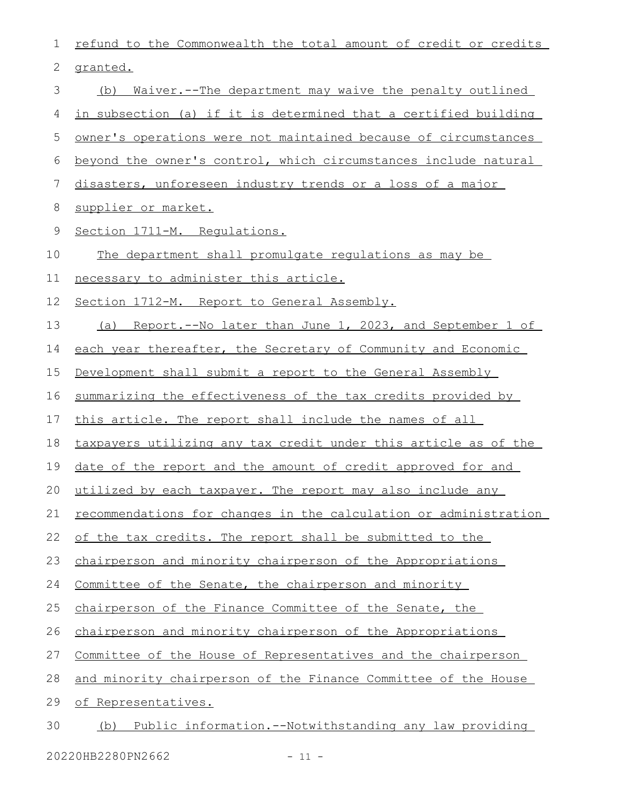| 1  | refund to the Commonwealth the total amount of credit or credits     |  |  |  |  |  |  |  |  |
|----|----------------------------------------------------------------------|--|--|--|--|--|--|--|--|
| 2  | granted.                                                             |  |  |  |  |  |  |  |  |
| 3  | <u>Waiver.--The department may waive the penalty outlined</u><br>(b) |  |  |  |  |  |  |  |  |
| 4  | in subsection (a) if it is determined that a certified building      |  |  |  |  |  |  |  |  |
| 5  | owner's operations were not maintained because of circumstances      |  |  |  |  |  |  |  |  |
| 6  | beyond the owner's control, which circumstances include natural      |  |  |  |  |  |  |  |  |
| 7  | disasters, unforeseen industry trends or a loss of a major           |  |  |  |  |  |  |  |  |
| 8  | supplier or market.                                                  |  |  |  |  |  |  |  |  |
| 9  | Section 1711-M. Requlations.                                         |  |  |  |  |  |  |  |  |
| 10 | The department shall promulgate regulations as may be                |  |  |  |  |  |  |  |  |
| 11 | necessary to administer this article.                                |  |  |  |  |  |  |  |  |
| 12 | Section 1712-M. Report to General Assembly.                          |  |  |  |  |  |  |  |  |
| 13 | (a) Report.--No later than June 1, 2023, and September 1 of          |  |  |  |  |  |  |  |  |
| 14 | each year thereafter, the Secretary of Community and Economic        |  |  |  |  |  |  |  |  |
| 15 | Development shall submit a report to the General Assembly            |  |  |  |  |  |  |  |  |
| 16 | summarizing the effectiveness of the tax credits provided by         |  |  |  |  |  |  |  |  |
| 17 | this article. The report shall include the names of all              |  |  |  |  |  |  |  |  |
| 18 | taxpayers utilizing any tax credit under this article as of the      |  |  |  |  |  |  |  |  |
| 19 | <u>date of the report and the amount of credit approved for and</u>  |  |  |  |  |  |  |  |  |
|    | 20 utilized by each taxpayer. The report may also include any        |  |  |  |  |  |  |  |  |
| 21 | recommendations for changes in the calculation or administration     |  |  |  |  |  |  |  |  |
| 22 | of the tax credits. The report shall be submitted to the             |  |  |  |  |  |  |  |  |
| 23 | chairperson and minority chairperson of the Appropriations           |  |  |  |  |  |  |  |  |
| 24 | Committee of the Senate, the chairperson and minority                |  |  |  |  |  |  |  |  |
| 25 | chairperson of the Finance Committee of the Senate, the              |  |  |  |  |  |  |  |  |
| 26 | chairperson and minority chairperson of the Appropriations           |  |  |  |  |  |  |  |  |
| 27 | Committee of the House of Representatives and the chairperson        |  |  |  |  |  |  |  |  |
| 28 | and minority chairperson of the Finance Committee of the House       |  |  |  |  |  |  |  |  |
| 29 | of Representatives.                                                  |  |  |  |  |  |  |  |  |
| 30 | (b) Public information.--Notwithstanding any law providing           |  |  |  |  |  |  |  |  |